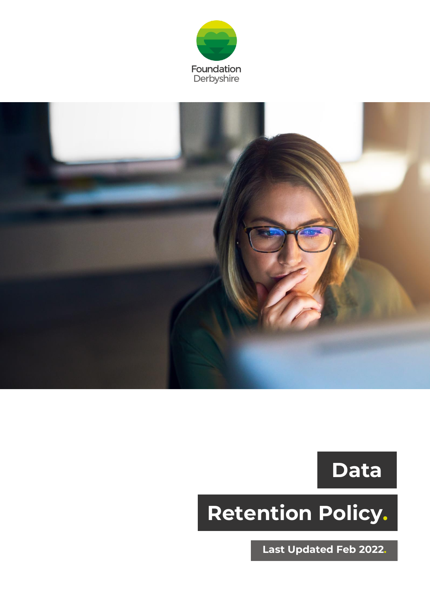



**Data**

# **Retention Policy.**

**Last Updated Feb 2022.**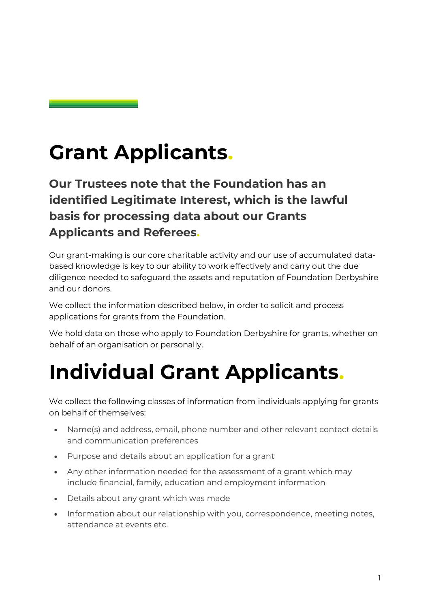### **Grant Applicants.**

**Our Trustees note that the Foundation has an identified Legitimate Interest, which is the lawful basis for processing data about our Grants Applicants and Referees.**

Our grant-making is our core charitable activity and our use of accumulated databased knowledge is key to our ability to work effectively and carry out the due diligence needed to safeguard the assets and reputation of Foundation Derbyshire and our donors.

We collect the information described below, in order to solicit and process applications for grants from the Foundation.

We hold data on those who apply to Foundation Derbyshire for grants, whether on behalf of an organisation or personally.

## **Individual Grant Applicants.**

We collect the following classes of information from individuals applying for grants on behalf of themselves:

- Name(s) and address, email, phone number and other relevant contact details and communication preferences
- Purpose and details about an application for a grant
- Any other information needed for the assessment of a grant which may include financial, family, education and employment information
- Details about any grant which was made
- Information about our relationship with you, correspondence, meeting notes, attendance at events etc.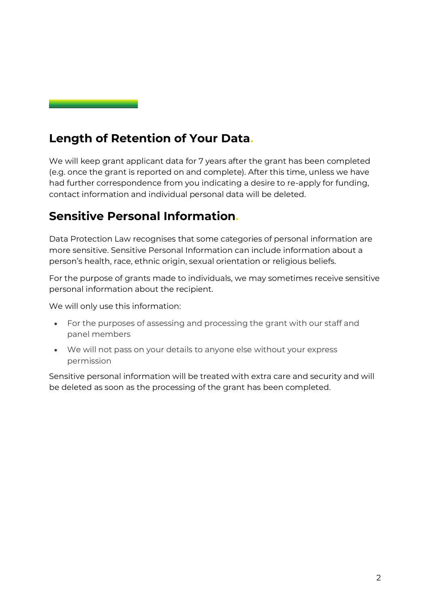#### **Length of Retention of Your Data.**

We will keep grant applicant data for 7 years after the grant has been completed (e.g. once the grant is reported on and complete). After this time, unless we have had further correspondence from you indicating a desire to re-apply for funding, contact information and individual personal data will be deleted.

#### **Sensitive Personal Information.**

Data Protection Law recognises that some categories of personal information are more sensitive. Sensitive Personal Information can include information about a person's health, race, ethnic origin, sexual orientation or religious beliefs.

For the purpose of grants made to individuals, we may sometimes receive sensitive personal information about the recipient.

We will only use this information:

- For the purposes of assessing and processing the grant with our staff and panel members
- We will not pass on your details to anyone else without your express permission

Sensitive personal information will be treated with extra care and security and will be deleted as soon as the processing of the grant has been completed.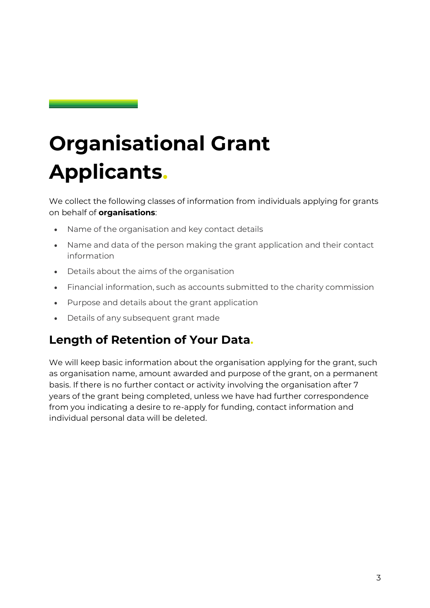# **Organisational Grant Applicants.**

We collect the following classes of information from individuals applying for grants on behalf of **organisations**:

- Name of the organisation and key contact details
- Name and data of the person making the grant application and their contact information
- Details about the aims of the organisation
- Financial information, such as accounts submitted to the charity commission
- Purpose and details about the grant application
- Details of any subsequent grant made

#### **Length of Retention of Your Data.**

We will keep basic information about the organisation applying for the grant, such as organisation name, amount awarded and purpose of the grant, on a permanent basis. If there is no further contact or activity involving the organisation after 7 years of the grant being completed, unless we have had further correspondence from you indicating a desire to re-apply for funding, contact information and individual personal data will be deleted.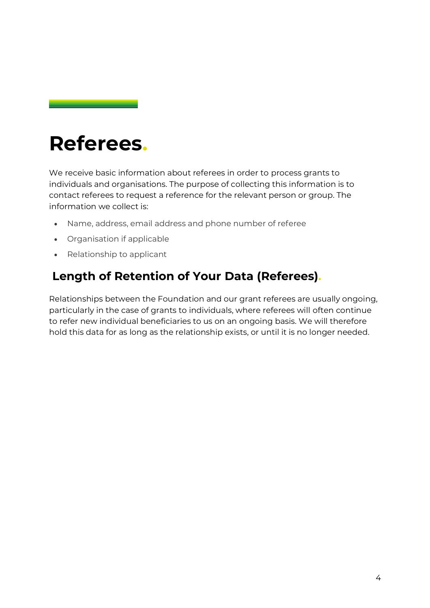### **Referees.**

We receive basic information about referees in order to process grants to individuals and organisations. The purpose of collecting this information is to contact referees to request a reference for the relevant person or group. The information we collect is:

- Name, address, email address and phone number of referee
- Organisation if applicable
- Relationship to applicant

#### **Length of Retention of Your Data (Referees).**

Relationships between the Foundation and our grant referees are usually ongoing, particularly in the case of grants to individuals, where referees will often continue to refer new individual beneficiaries to us on an ongoing basis. We will therefore hold this data for as long as the relationship exists, or until it is no longer needed.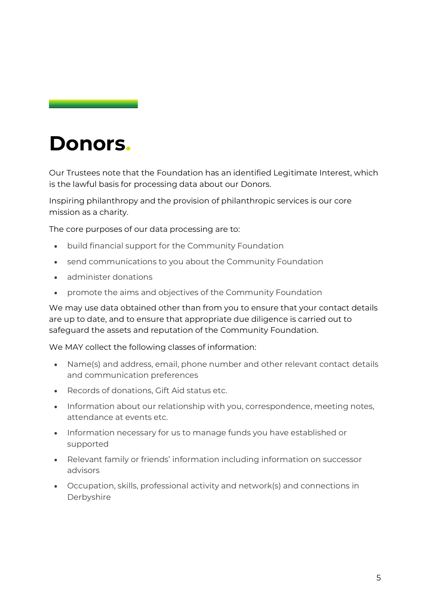### **Donors.**

Our Trustees note that the Foundation has an identified Legitimate Interest, which is the lawful basis for processing data about our Donors.

Inspiring philanthropy and the provision of philanthropic services is our core mission as a charity.

The core purposes of our data processing are to:

- build financial support for the Community Foundation
- send communications to you about the Community Foundation
- administer donations
- promote the aims and objectives of the Community Foundation

We may use data obtained other than from you to ensure that your contact details are up to date, and to ensure that appropriate due diligence is carried out to safeguard the assets and reputation of the Community Foundation.

We MAY collect the following classes of information:

- Name(s) and address, email, phone number and other relevant contact details and communication preferences
- Records of donations, Gift Aid status etc.
- Information about our relationship with you, correspondence, meeting notes, attendance at events etc.
- Information necessary for us to manage funds you have established or supported
- Relevant family or friends' information including information on successor advisors
- Occupation, skills, professional activity and network(s) and connections in Derbyshire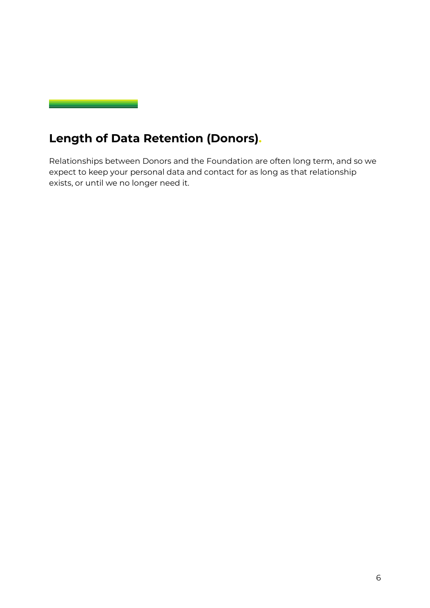

#### **Length of Data Retention (Donors).**

Relationships between Donors and the Foundation are often long term, and so we expect to keep your personal data and contact for as long as that relationship exists, or until we no longer need it.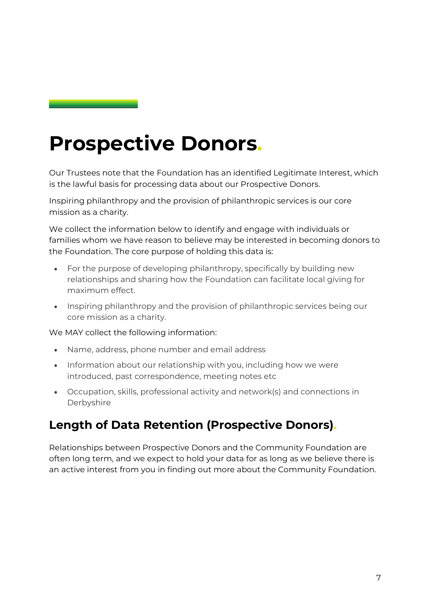### **Prospective Donors.**

Our Trustees note that the Foundation has an identified Legitimate Interest, which is the lawful basis for processing data about our Prospective Donors.

Inspiring philanthropy and the provision of philanthropic services is our core mission as a charity.

We collect the information below to identify and engage with individuals or families whom we have reason to believe may be interested in becoming donors to the Foundation. The core purpose of holding this data is:

- For the purpose of developing philanthropy, specifically by building new relationships and sharing how the Foundation can facilitate local giving for maximum effect.
- Inspiring philanthropy and the provision of philanthropic services being our core mission as a charity.

We MAY collect the following information:

- Name, address, phone number and email address
- Information about our relationship with you, including how we were introduced, past correspondence, meeting notes etc
- Occupation, skills, professional activity and network(s) and connections in Derbyshire

#### **Length of Data Retention (Prospective Donors).**

Relationships between Prospective Donors and the Community Foundation are often long term, and we expect to hold your data for as long as we believe there is an active interest from you in finding out more about the Community Foundation.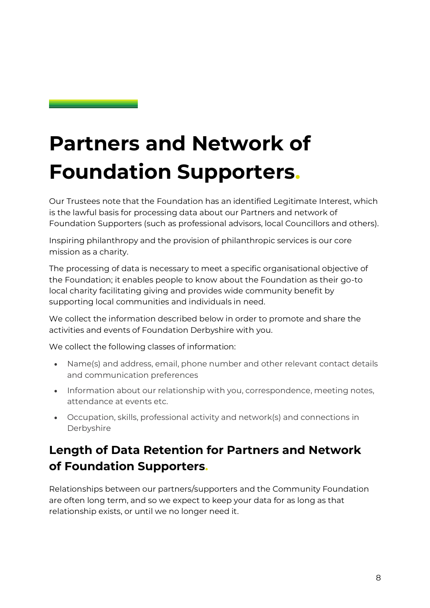# **Partners and Network of Foundation Supporters.**

Our Trustees note that the Foundation has an identified Legitimate Interest, which is the lawful basis for processing data about our Partners and network of Foundation Supporters (such as professional advisors, local Councillors and others).

Inspiring philanthropy and the provision of philanthropic services is our core mission as a charity.

The processing of data is necessary to meet a specific organisational objective of the Foundation; it enables people to know about the Foundation as their go-to local charity facilitating giving and provides wide community benefit by supporting local communities and individuals in need.

We collect the information described below in order to promote and share the activities and events of Foundation Derbyshire with you.

We collect the following classes of information:

- Name(s) and address, email, phone number and other relevant contact details and communication preferences
- Information about our relationship with you, correspondence, meeting notes, attendance at events etc.
- Occupation, skills, professional activity and network(s) and connections in Derbyshire

#### **Length of Data Retention for Partners and Network of Foundation Supporters.**

Relationships between our partners/supporters and the Community Foundation are often long term, and so we expect to keep your data for as long as that relationship exists, or until we no longer need it.